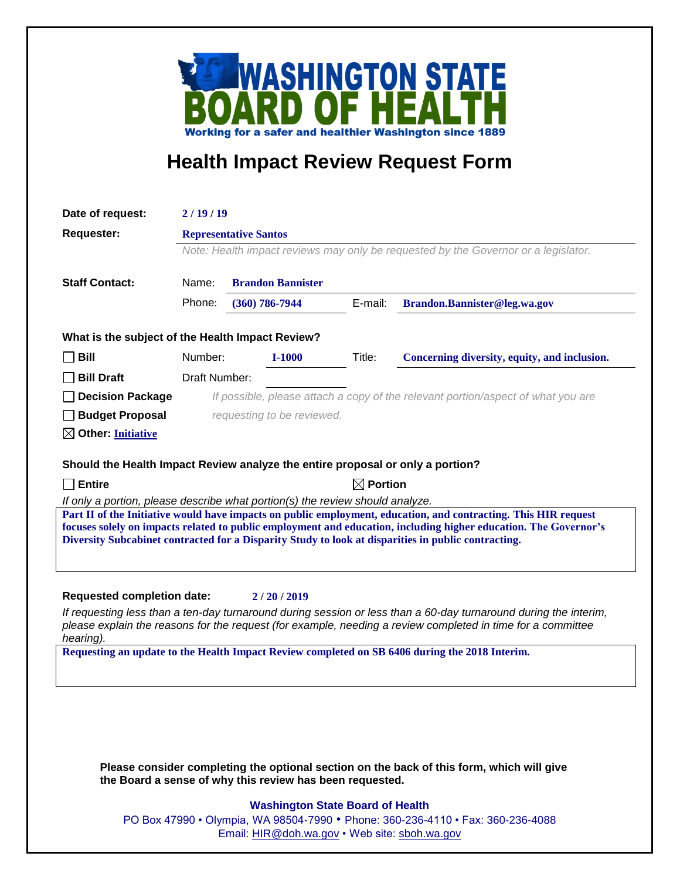

## **Health Impact Review Request Form**

|                                                                                | 2/19/19                                                                                                            |  |                  |         |                                                                                                                                                                                                                                                                                                                                            |
|--------------------------------------------------------------------------------|--------------------------------------------------------------------------------------------------------------------|--|------------------|---------|--------------------------------------------------------------------------------------------------------------------------------------------------------------------------------------------------------------------------------------------------------------------------------------------------------------------------------------------|
| <b>Requester:</b>                                                              | <b>Representative Santos</b><br>Note: Health impact reviews may only be requested by the Governor or a legislator. |  |                  |         |                                                                                                                                                                                                                                                                                                                                            |
| <b>Staff Contact:</b>                                                          |                                                                                                                    |  |                  |         |                                                                                                                                                                                                                                                                                                                                            |
|                                                                                | Name:<br><b>Brandon Bannister</b>                                                                                  |  |                  |         |                                                                                                                                                                                                                                                                                                                                            |
|                                                                                | Phone:                                                                                                             |  | $(360)$ 786-7944 | E-mail: | Brandon.Bannister@leg.wa.gov                                                                                                                                                                                                                                                                                                               |
| What is the subject of the Health Impact Review?                               |                                                                                                                    |  |                  |         |                                                                                                                                                                                                                                                                                                                                            |
| <b>Bill</b>                                                                    | Number:                                                                                                            |  | <b>I-1000</b>    | Title:  | Concerning diversity, equity, and inclusion.                                                                                                                                                                                                                                                                                               |
| <b>Bill Draft</b>                                                              | Draft Number:                                                                                                      |  |                  |         |                                                                                                                                                                                                                                                                                                                                            |
| <b>Decision Package</b>                                                        |                                                                                                                    |  |                  |         | If possible, please attach a copy of the relevant portion/aspect of what you are                                                                                                                                                                                                                                                           |
| <b>Budget Proposal</b>                                                         | requesting to be reviewed.                                                                                         |  |                  |         |                                                                                                                                                                                                                                                                                                                                            |
| $\boxtimes$ Other: Initiative                                                  |                                                                                                                    |  |                  |         |                                                                                                                                                                                                                                                                                                                                            |
|                                                                                |                                                                                                                    |  |                  |         |                                                                                                                                                                                                                                                                                                                                            |
| Should the Health Impact Review analyze the entire proposal or only a portion? |                                                                                                                    |  |                  |         |                                                                                                                                                                                                                                                                                                                                            |
| $\sqcap$ Entire                                                                | $\boxtimes$ Portion                                                                                                |  |                  |         |                                                                                                                                                                                                                                                                                                                                            |
| If only a portion, please describe what portion(s) the review should analyze.  |                                                                                                                    |  |                  |         |                                                                                                                                                                                                                                                                                                                                            |
|                                                                                |                                                                                                                    |  |                  |         | Part II of the Initiative would have impacts on public employment, education, and contracting. This HIR request<br>focuses solely on impacts related to public employment and education, including higher education. The Governor's<br>Diversity Subcabinet contracted for a Disparity Study to look at disparities in public contracting. |
|                                                                                |                                                                                                                    |  |                  |         |                                                                                                                                                                                                                                                                                                                                            |
| <b>Requested completion date:</b>                                              |                                                                                                                    |  | 2/20/2019        |         |                                                                                                                                                                                                                                                                                                                                            |
|                                                                                |                                                                                                                    |  |                  |         | If requesting less than a ten-day turnaround during session or less than a 60-day turnaround during the interim,<br>please explain the reasons for the request (for example, needing a review completed in time for a committee                                                                                                            |
| hearing).                                                                      |                                                                                                                    |  |                  |         | Requesting an update to the Health Impact Review completed on SB 6406 during the 2018 Interim.                                                                                                                                                                                                                                             |
|                                                                                |                                                                                                                    |  |                  |         |                                                                                                                                                                                                                                                                                                                                            |
|                                                                                |                                                                                                                    |  |                  |         |                                                                                                                                                                                                                                                                                                                                            |
|                                                                                |                                                                                                                    |  |                  |         |                                                                                                                                                                                                                                                                                                                                            |
|                                                                                |                                                                                                                    |  |                  |         |                                                                                                                                                                                                                                                                                                                                            |
|                                                                                |                                                                                                                    |  |                  |         |                                                                                                                                                                                                                                                                                                                                            |
|                                                                                |                                                                                                                    |  |                  |         | Please consider completing the optional section on the back of this form, which will give                                                                                                                                                                                                                                                  |

## **Washington State Board of Health**

PO Box 47990 • Olympia, WA 98504-7990 • Phone: 360-236-4110 • Fax: 360-236-4088 Email: [HIR@doh.wa.gov](mailto:HIR@doh.wa.gov) • Web site: [sboh.wa.gov](http://www.sboh.wa.gov/hdcouncil/)